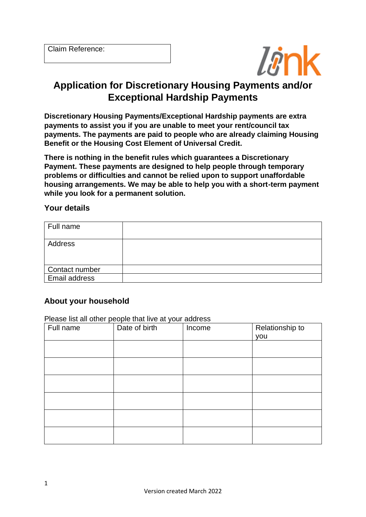

# **Application for Discretionary Housing Payments and/or Exceptional Hardship Payments**

**Discretionary Housing Payments/Exceptional Hardship payments are extra payments to assist you if you are unable to meet your rent/council tax payments. The payments are paid to people who are already claiming Housing Benefit or the Housing Cost Element of Universal Credit.**

**There is nothing in the benefit rules which guarantees a Discretionary Payment. These payments are designed to help people through temporary problems or difficulties and cannot be relied upon to support unaffordable housing arrangements. We may be able to help you with a short-term payment while you look for a permanent solution.**

#### **Your details**

| Full name      |  |
|----------------|--|
| Address        |  |
| Contact number |  |
| Email address  |  |

## **About your household**

Please list all other people that live at your address

| Full name | $\ldots$ accept to the control propriet in the case of $\mathcal{L}$<br>Date of birth | Income | Relationship to |
|-----------|---------------------------------------------------------------------------------------|--------|-----------------|
|           |                                                                                       |        | you             |
|           |                                                                                       |        |                 |
|           |                                                                                       |        |                 |
|           |                                                                                       |        |                 |
|           |                                                                                       |        |                 |
|           |                                                                                       |        |                 |
|           |                                                                                       |        |                 |
|           |                                                                                       |        |                 |
|           |                                                                                       |        |                 |
|           |                                                                                       |        |                 |
|           |                                                                                       |        |                 |
|           |                                                                                       |        |                 |
|           |                                                                                       |        |                 |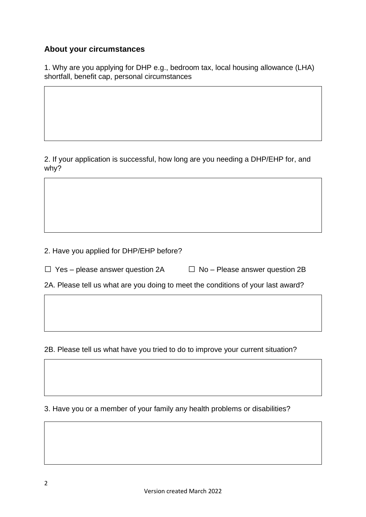## **About your circumstances**

1. Why are you applying for DHP e.g., bedroom tax, local housing allowance (LHA) shortfall, benefit cap, personal circumstances

2. If your application is successful, how long are you needing a DHP/EHP for, and why?

2. Have you applied for DHP/EHP before?

 $\Box$  Yes – please answer question 2A  $\Box$  No – Please answer question 2B

2A. Please tell us what are you doing to meet the conditions of your last award?

2B. Please tell us what have you tried to do to improve your current situation?

3. Have you or a member of your family any health problems or disabilities?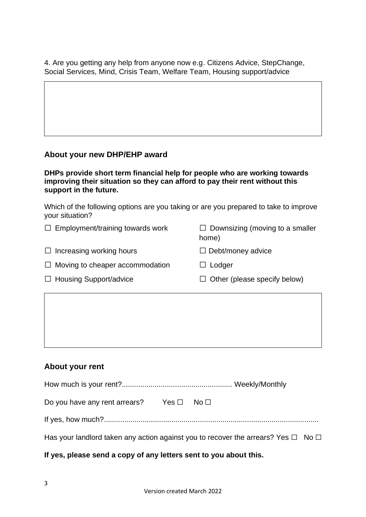4. Are you getting any help from anyone now e.g. Citizens Advice, StepChange, Social Services, Mind, Crisis Team, Welfare Team, Housing support/advice

## **About your new DHP/EHP award**

**DHPs provide short term financial help for people who are working towards improving their situation so they can afford to pay their rent without this support in the future.** 

Which of the following options are you taking or are you prepared to take to improve your situation?

| $\Box$ Employment/training towards work | $\Box$ Downsizing (moving to a smaller<br>home) |
|-----------------------------------------|-------------------------------------------------|
| $\Box$ Increasing working hours         | $\Box$ Debt/money advice                        |
| $\Box$ Moving to cheaper accommodation  | $\Box$ Lodger                                   |
| $\Box$ Housing Support/advice           | $\Box$ Other (please specify below)             |

## **About your rent**

| Do you have any rent arrears? Yes $\Box$ No $\Box$                                          |  |
|---------------------------------------------------------------------------------------------|--|
|                                                                                             |  |
| Has your landlord taken any action against you to recover the arrears? Yes $\Box$ No $\Box$ |  |

## **If yes, please send a copy of any letters sent to you about this.**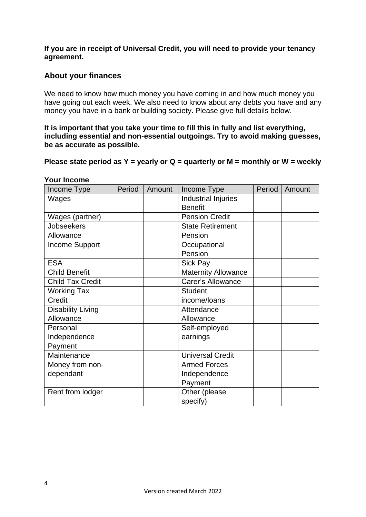#### **If you are in receipt of Universal Credit, you will need to provide your tenancy agreement.**

## **About your finances**

We need to know how much money you have coming in and how much money you have going out each week. We also need to know about any debts you have and any money you have in a bank or building society. Please give full details below.

#### **It is important that you take your time to fill this in fully and list everything, including essential and non-essential outgoings. Try to avoid making guesses, be as accurate as possible.**

#### **Please state period as Y = yearly or Q = quarterly or M = monthly or W = weekly**

| Income Type              | Period | Amount | Income Type                | Period | Amount |
|--------------------------|--------|--------|----------------------------|--------|--------|
| Wages                    |        |        | Industrial Injuries        |        |        |
|                          |        |        | <b>Benefit</b>             |        |        |
| Wages (partner)          |        |        | <b>Pension Credit</b>      |        |        |
| <b>Jobseekers</b>        |        |        | <b>State Retirement</b>    |        |        |
| Allowance                |        |        | Pension                    |        |        |
| <b>Income Support</b>    |        |        | Occupational               |        |        |
|                          |        |        | Pension                    |        |        |
| <b>ESA</b>               |        |        | Sick Pay                   |        |        |
| <b>Child Benefit</b>     |        |        | <b>Maternity Allowance</b> |        |        |
| <b>Child Tax Credit</b>  |        |        | Carer's Allowance          |        |        |
| <b>Working Tax</b>       |        |        | <b>Student</b>             |        |        |
| Credit                   |        |        | income/loans               |        |        |
| <b>Disability Living</b> |        |        | Attendance                 |        |        |
| Allowance                |        |        | Allowance                  |        |        |
| Personal                 |        |        | Self-employed              |        |        |
| Independence             |        |        | earnings                   |        |        |
| Payment                  |        |        |                            |        |        |
| Maintenance              |        |        | <b>Universal Credit</b>    |        |        |
| Money from non-          |        |        | <b>Armed Forces</b>        |        |        |
| dependant                |        |        | Independence               |        |        |
|                          |        |        | Payment                    |        |        |
| Rent from lodger         |        |        | Other (please              |        |        |
|                          |        |        | specify)                   |        |        |

#### **Your Income**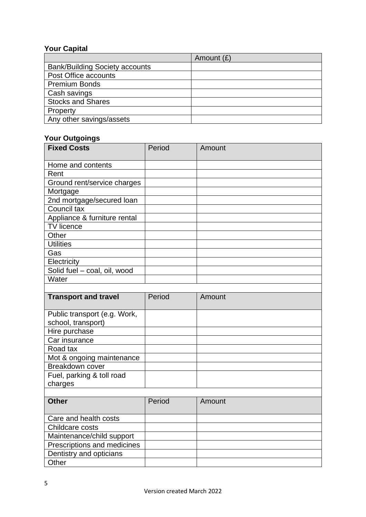## **Your Capital**

|                                       | Amount $(E)$ |
|---------------------------------------|--------------|
| <b>Bank/Building Society accounts</b> |              |
| Post Office accounts                  |              |
| <b>Premium Bonds</b>                  |              |
| Cash savings                          |              |
| <b>Stocks and Shares</b>              |              |
| Property                              |              |
| Any other savings/assets              |              |

## **Your Outgoings**

| <b>Fixed Costs</b>           | Period | Amount |
|------------------------------|--------|--------|
|                              |        |        |
| Home and contents            |        |        |
| Rent                         |        |        |
| Ground rent/service charges  |        |        |
| Mortgage                     |        |        |
| 2nd mortgage/secured loan    |        |        |
| Council tax                  |        |        |
| Appliance & furniture rental |        |        |
| <b>TV</b> licence            |        |        |
| Other                        |        |        |
| <b>Utilities</b>             |        |        |
| Gas                          |        |        |
| Electricity                  |        |        |
| Solid fuel - coal, oil, wood |        |        |
| Water                        |        |        |
|                              |        |        |

| <b>Transport and travel</b>                        | Period | Amount |
|----------------------------------------------------|--------|--------|
| Public transport (e.g. Work,<br>school, transport) |        |        |
| Hire purchase                                      |        |        |
| Car insurance                                      |        |        |
| Road tax                                           |        |        |
| Mot & ongoing maintenance                          |        |        |
| Breakdown cover                                    |        |        |
| Fuel, parking & toll road                          |        |        |
| charges                                            |        |        |
|                                                    |        |        |

| <b>Other</b>                | Period | Amount |
|-----------------------------|--------|--------|
| Care and health costs       |        |        |
| Childcare costs             |        |        |
| Maintenance/child support   |        |        |
| Prescriptions and medicines |        |        |
| Dentistry and opticians     |        |        |
| Other                       |        |        |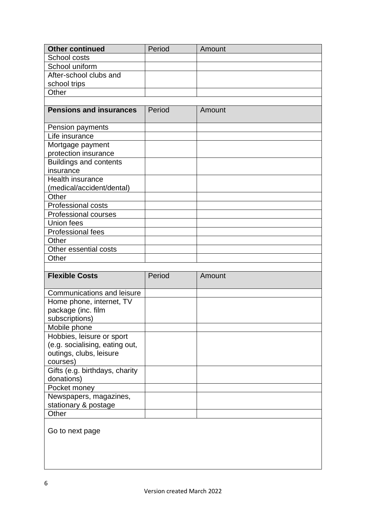| <b>Other continued</b>                                                                             | Period | Amount |
|----------------------------------------------------------------------------------------------------|--------|--------|
| School costs                                                                                       |        |        |
| School uniform                                                                                     |        |        |
| After-school clubs and                                                                             |        |        |
| school trips                                                                                       |        |        |
| Other                                                                                              |        |        |
|                                                                                                    |        |        |
| <b>Pensions and insurances</b>                                                                     | Period | Amount |
| Pension payments                                                                                   |        |        |
| Life insurance                                                                                     |        |        |
| Mortgage payment                                                                                   |        |        |
| protection insurance                                                                               |        |        |
| <b>Buildings and contents</b>                                                                      |        |        |
| insurance                                                                                          |        |        |
| <b>Health insurance</b>                                                                            |        |        |
| (medical/accident/dental)                                                                          |        |        |
| Other                                                                                              |        |        |
| <b>Professional costs</b>                                                                          |        |        |
| <b>Professional courses</b>                                                                        |        |        |
| Union fees                                                                                         |        |        |
| Professional fees                                                                                  |        |        |
| Other                                                                                              |        |        |
| Other essential costs                                                                              |        |        |
| Other                                                                                              |        |        |
|                                                                                                    |        |        |
| <b>Flexible Costs</b>                                                                              | Period | Amount |
| Communications and leisure                                                                         |        |        |
| Home phone, internet, TV<br>package (inc. film<br>subscriptions)                                   |        |        |
| Mobile phone                                                                                       |        |        |
| Hobbies, leisure or sport<br>(e.g. socialising, eating out,<br>outings, clubs, leisure<br>courses) |        |        |
| Gifts (e.g. birthdays, charity<br>donations)                                                       |        |        |
| Pocket money                                                                                       |        |        |
| Newspapers, magazines,<br>stationary & postage                                                     |        |        |
| Other                                                                                              |        |        |
| Go to next page                                                                                    |        |        |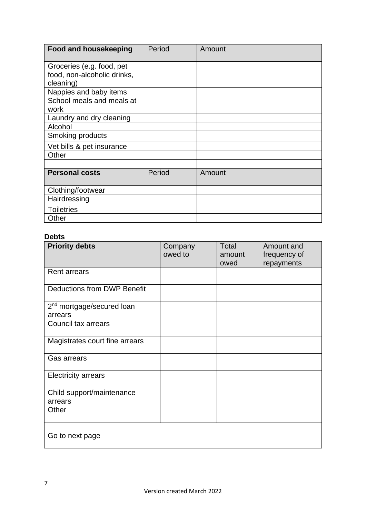| <b>Food and housekeeping</b> | Period | Amount |
|------------------------------|--------|--------|
| Groceries (e.g. food, pet    |        |        |
| food, non-alcoholic drinks,  |        |        |
| cleaning)                    |        |        |
| Nappies and baby items       |        |        |
| School meals and meals at    |        |        |
| work                         |        |        |
| Laundry and dry cleaning     |        |        |
| Alcohol                      |        |        |
| Smoking products             |        |        |
| Vet bills & pet insurance    |        |        |
| Other                        |        |        |
|                              |        |        |
| <b>Personal costs</b>        | Period | Amount |
| Clothing/footwear            |        |        |
| Hairdressing                 |        |        |
| <b>Toiletries</b>            |        |        |
| Other                        |        |        |

## **Debts**

| <b>Priority debts</b>                            | Company<br>owed to | Total<br>amount<br>owed | Amount and<br>frequency of<br>repayments |
|--------------------------------------------------|--------------------|-------------------------|------------------------------------------|
| <b>Rent arrears</b>                              |                    |                         |                                          |
| <b>Deductions from DWP Benefit</b>               |                    |                         |                                          |
| 2 <sup>nd</sup> mortgage/secured loan<br>arrears |                    |                         |                                          |
| Council tax arrears                              |                    |                         |                                          |
| Magistrates court fine arrears                   |                    |                         |                                          |
| <b>Gas arrears</b>                               |                    |                         |                                          |
| <b>Electricity arrears</b>                       |                    |                         |                                          |
| Child support/maintenance<br>arrears             |                    |                         |                                          |
| Other                                            |                    |                         |                                          |
| Go to next page                                  |                    |                         |                                          |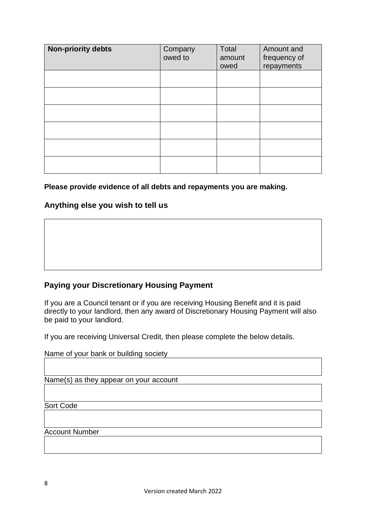| <b>Non-priority debts</b> | Company<br>owed to | Total<br>amount<br>owed | Amount and<br>frequency of<br>repayments |
|---------------------------|--------------------|-------------------------|------------------------------------------|
|                           |                    |                         |                                          |
|                           |                    |                         |                                          |
|                           |                    |                         |                                          |
|                           |                    |                         |                                          |
|                           |                    |                         |                                          |
|                           |                    |                         |                                          |

#### **Please provide evidence of all debts and repayments you are making.**

#### **Anything else you wish to tell us**

## **Paying your Discretionary Housing Payment**

If you are a Council tenant or if you are receiving Housing Benefit and it is paid directly to your landlord, then any award of Discretionary Housing Payment will also be paid to your landlord.

If you are receiving Universal Credit, then please complete the below details.

| Name of your bank or building society  |
|----------------------------------------|
|                                        |
|                                        |
| Name(s) as they appear on your account |
|                                        |
|                                        |
| Sort Code                              |
|                                        |
|                                        |
| <b>Account Number</b>                  |
|                                        |
|                                        |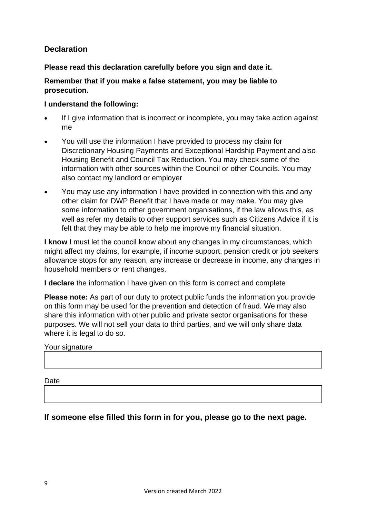## **Declaration**

## **Please read this declaration carefully before you sign and date it.**

#### **Remember that if you make a false statement, you may be liable to prosecution.**

#### **I understand the following:**

- If I give information that is incorrect or incomplete, you may take action against me
- You will use the information I have provided to process my claim for Discretionary Housing Payments and Exceptional Hardship Payment and also Housing Benefit and Council Tax Reduction. You may check some of the information with other sources within the Council or other Councils. You may also contact my landlord or employer
- You may use any information I have provided in connection with this and any other claim for DWP Benefit that I have made or may make. You may give some information to other government organisations, if the law allows this, as well as refer my details to other support services such as Citizens Advice if it is felt that they may be able to help me improve my financial situation.

**I know** I must let the council know about any changes in my circumstances, which might affect my claims, for example, if income support, pension credit or job seekers allowance stops for any reason, any increase or decrease in income, any changes in household members or rent changes.

**I declare** the information I have given on this form is correct and complete

**Please note:** As part of our duty to protect public funds the information you provide on this form may be used for the prevention and detection of fraud. We may also share this information with other public and private sector organisations for these purposes. We will not sell your data to third parties, and we will only share data where it is legal to do so.

#### Your signature

**Date** 

**If someone else filled this form in for you, please go to the next page.**